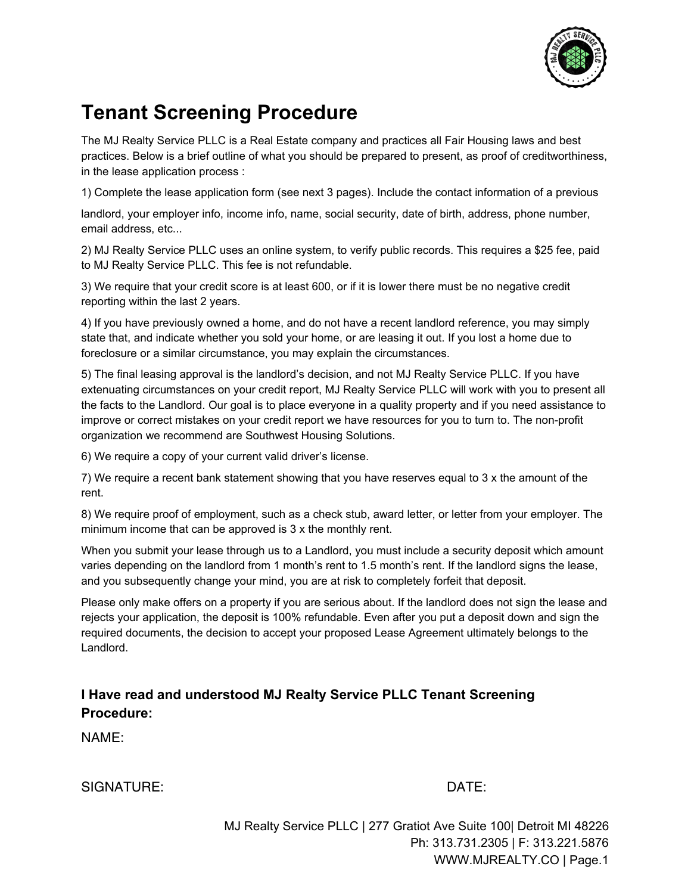

## **Tenant Screening Procedure**

The MJ Realty Service PLLC is a Real Estate company and practices all Fair Housing laws and best practices. Below is a brief outline of what you should be prepared to present, as proof of creditworthiness, in the lease application process :

1) Complete the lease application form (see next 3 pages). Include the contact information of a previous

landlord, your employer info, income info, name, social security, date of birth, address, phone number, email address, etc...

2) MJ Realty Service PLLC uses an online system, to verify public records. This requires a \$25 fee, paid to MJ Realty Service PLLC. This fee is not refundable.

3) We require that your credit score is at least 600, or if it is lower there must be no negative credit reporting within the last 2 years.

4) If you have previously owned a home, and do not have a recent landlord reference, you may simply state that, and indicate whether you sold your home, or are leasing it out. If you lost a home due to foreclosure or a similar circumstance, you may explain the circumstances.

5) The final leasing approval is the landlord's decision, and not MJ Realty Service PLLC. If you have extenuating circumstances on your credit report, MJ Realty Service PLLC will work with you to present all the facts to the Landlord. Our goal is to place everyone in a quality property and if you need assistance to improve or correct mistakes on your credit report we have resources for you to turn to. The non-profit organization we recommend are Southwest Housing Solutions.

6) We require a copy of your current valid driver's license.

7) We require a recent bank statement showing that you have reserves equal to 3 x the amount of the rent.

8) We require proof of employment, such as a check stub, award letter, or letter from your employer. The minimum income that can be approved is 3 x the monthly rent.

When you submit your lease through us to a Landlord, you must include a security deposit which amount varies depending on the landlord from 1 month's rent to 1.5 month's rent. If the landlord signs the lease, and you subsequently change your mind, you are at risk to completely forfeit that deposit.

Please only make offers on a property if you are serious about. If the landlord does not sign the lease and rejects your application, the deposit is 100% refundable. Even after you put a deposit down and sign the required documents, the decision to accept your proposed Lease Agreement ultimately belongs to the Landlord.

#### **I Have read and understood MJ Realty Service PLLC Tenant Screening Procedure:**

NAME:

SIGNATURE: DATE:

MJ Realty Service PLLC | 277 Gratiot Ave Suite 100| Detroit MI 48226 Ph: 313.731.2305 | F: 313.221.5876 WWW.MJREALTY.CO | Page.1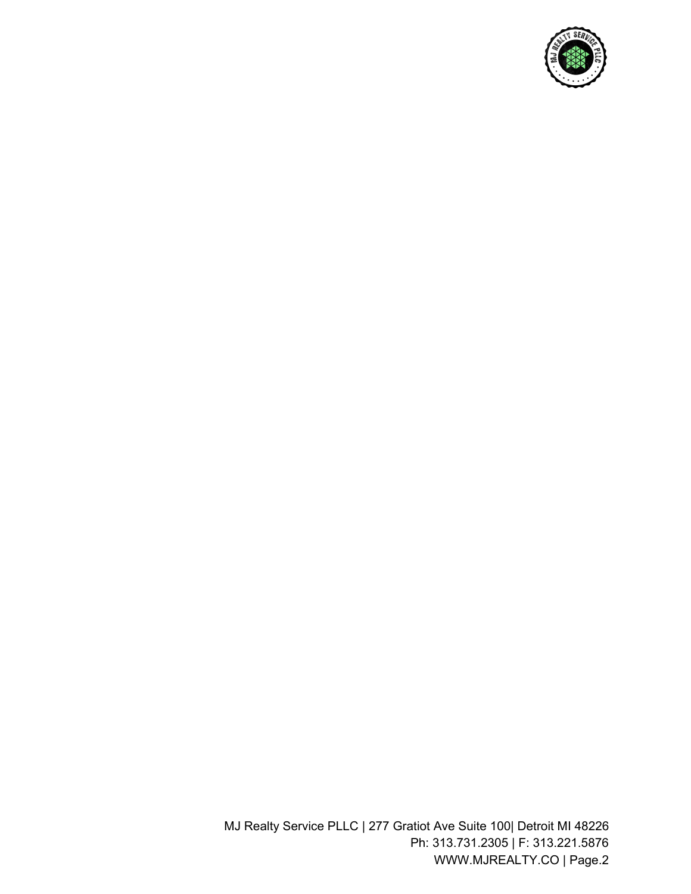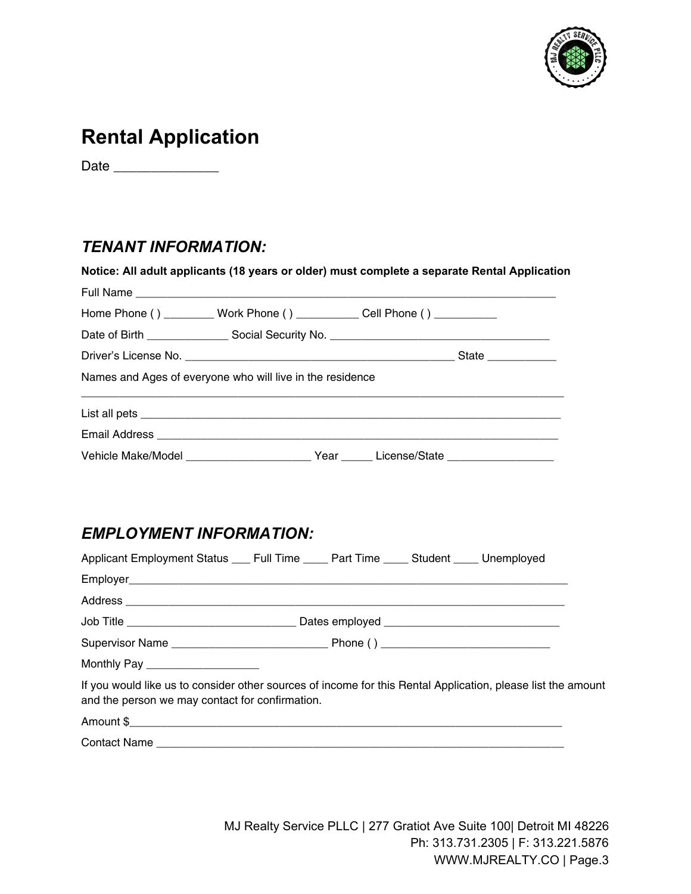

# **Rental Application**

Date \_\_\_\_\_\_\_\_\_\_\_\_\_\_

### *TENANT INFORMATION:*

| Notice: All adult applicants (18 years or older) must complete a separate Rental Application |  |  |
|----------------------------------------------------------------------------------------------|--|--|
|                                                                                              |  |  |
| Home Phone () _________ Work Phone () ___________ Cell Phone () __________                   |  |  |
|                                                                                              |  |  |
|                                                                                              |  |  |
| Names and Ages of everyone who will live in the residence                                    |  |  |
|                                                                                              |  |  |
|                                                                                              |  |  |
| Vehicle Make/Model ________________________Year ______ License/State ____________            |  |  |

### *EMPLOYMENT INFORMATION:*

| Applicant Employment Status ____ Full Time _____ Part Time _____ Student _____ Unemployed                                                                       |  |  |  |
|-----------------------------------------------------------------------------------------------------------------------------------------------------------------|--|--|--|
|                                                                                                                                                                 |  |  |  |
|                                                                                                                                                                 |  |  |  |
|                                                                                                                                                                 |  |  |  |
|                                                                                                                                                                 |  |  |  |
| Monthly Pay ___________________                                                                                                                                 |  |  |  |
| If you would like us to consider other sources of income for this Rental Application, please list the amount<br>and the person we may contact for confirmation. |  |  |  |
|                                                                                                                                                                 |  |  |  |
|                                                                                                                                                                 |  |  |  |

MJ Realty Service PLLC | 277 Gratiot Ave Suite 100| Detroit MI 48226 Ph: 313.731.2305 | F: 313.221.5876 WWW.MJREALTY.CO | Page.3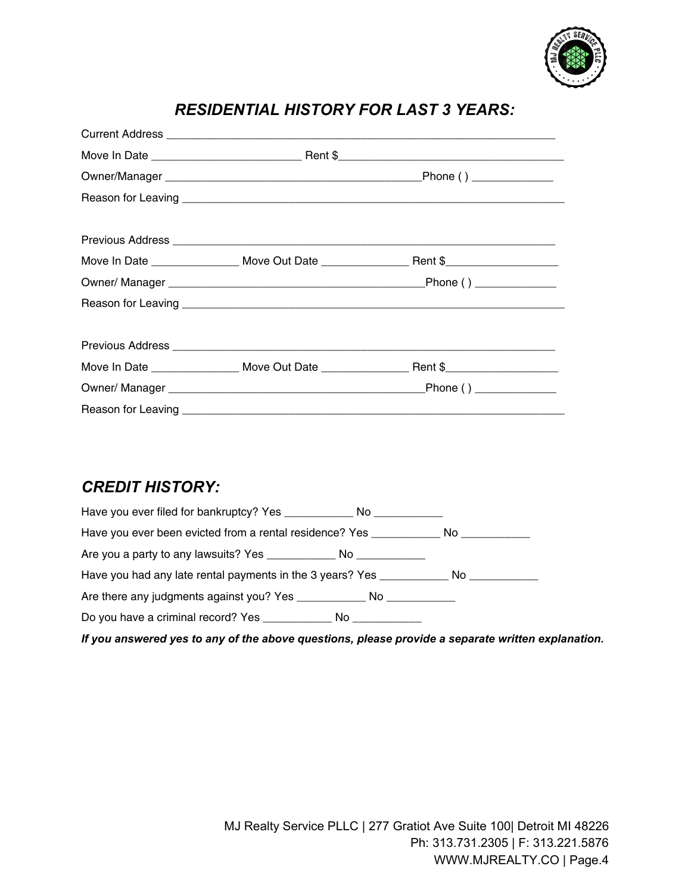

### *RESIDENTIAL HISTORY FOR LAST 3 YEARS:*

|  | Move In Date ____________________Move Out Date __________________________________ |
|--|-----------------------------------------------------------------------------------|
|  |                                                                                   |
|  |                                                                                   |

## *CREDIT HISTORY:*

| If you answered yes to any of the above questions, please provide a separate written explanation. |  |
|---------------------------------------------------------------------------------------------------|--|
|                                                                                                   |  |
|                                                                                                   |  |
| Have you had any late rental payments in the 3 years? Yes _______________No ____________          |  |
|                                                                                                   |  |
| Have you ever been evicted from a rental residence? Yes _____________ No ____________             |  |
|                                                                                                   |  |